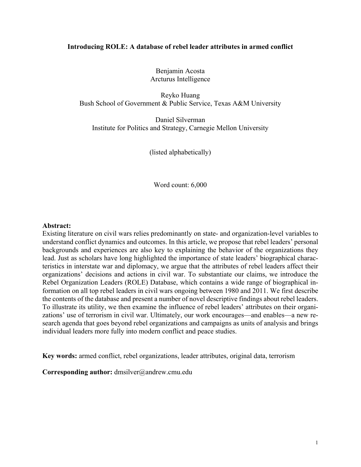#### **Introducing ROLE: A database of rebel leader attributes in armed conflict**

Benjamin Acosta Arcturus Intelligence

Reyko Huang Bush School of Government & Public Service, Texas A&M University

Daniel Silverman Institute for Politics and Strategy, Carnegie Mellon University

(listed alphabetically)

Word count: 6,000

#### **Abstract:**

Existing literature on civil wars relies predominantly on state- and organization-level variables to understand conflict dynamics and outcomes. In this article, we propose that rebel leaders' personal backgrounds and experiences are also key to explaining the behavior of the organizations they lead. Just as scholars have long highlighted the importance of state leaders' biographical characteristics in interstate war and diplomacy, we argue that the attributes of rebel leaders affect their organizations' decisions and actions in civil war. To substantiate our claims, we introduce the Rebel Organization Leaders (ROLE) Database, which contains a wide range of biographical information on all top rebel leaders in civil wars ongoing between 1980 and 2011. We first describe the contents of the database and present a number of novel descriptive findings about rebel leaders. To illustrate its utility, we then examine the influence of rebel leaders' attributes on their organizations' use of terrorism in civil war. Ultimately, our work encourages—and enables—a new research agenda that goes beyond rebel organizations and campaigns as units of analysis and brings individual leaders more fully into modern conflict and peace studies.

**Key words:** armed conflict, rebel organizations, leader attributes, original data, terrorism

**Corresponding author:** dmsilver@andrew.cmu.edu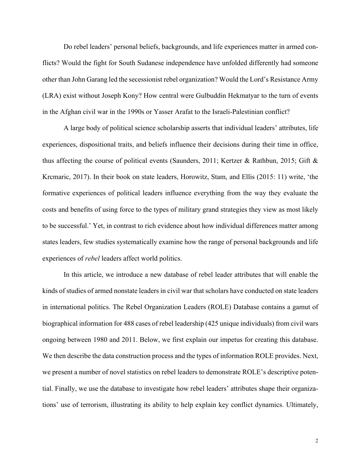Do rebel leaders' personal beliefs, backgrounds, and life experiences matter in armed conflicts? Would the fight for South Sudanese independence have unfolded differently had someone other than John Garang led the secessionist rebel organization? Would the Lord's Resistance Army (LRA) exist without Joseph Kony? How central were Gulbuddin Hekmatyar to the turn of events in the Afghan civil war in the 1990s or Yasser Arafat to the Israeli-Palestinian conflict?

A large body of political science scholarship asserts that individual leaders' attributes, life experiences, dispositional traits, and beliefs influence their decisions during their time in office, thus affecting the course of political events (Saunders, 2011; Kertzer & Rathbun, 2015; Gift & Krcmaric, 2017). In their book on state leaders, Horowitz, Stam, and Ellis (2015: 11) write, 'the formative experiences of political leaders influence everything from the way they evaluate the costs and benefits of using force to the types of military grand strategies they view as most likely to be successful.' Yet, in contrast to rich evidence about how individual differences matter among states leaders, few studies systematically examine how the range of personal backgrounds and life experiences of *rebel* leaders affect world politics.

In this article, we introduce a new database of rebel leader attributes that will enable the kinds of studies of armed nonstate leaders in civil war that scholars have conducted on state leaders in international politics. The Rebel Organization Leaders (ROLE) Database contains a gamut of biographical information for 488 cases of rebel leadership (425 unique individuals) from civil wars ongoing between 1980 and 2011. Below, we first explain our impetus for creating this database. We then describe the data construction process and the types of information ROLE provides. Next, we present a number of novel statistics on rebel leaders to demonstrate ROLE's descriptive potential. Finally, we use the database to investigate how rebel leaders' attributes shape their organizations' use of terrorism, illustrating its ability to help explain key conflict dynamics. Ultimately,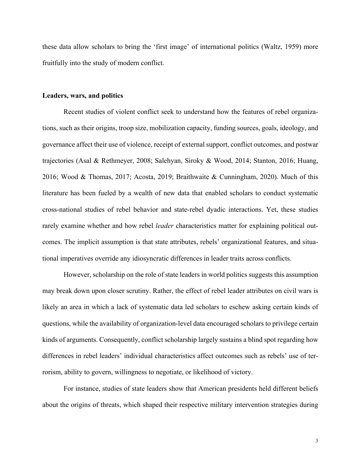these data allow scholars to bring the 'first image' of international politics (Waltz, 1959) more fruitfully into the study of modern conflict.

#### **Leaders, wars, and politics**

Recent studies of violent conflict seek to understand how the features of rebel organizations, such as their origins, troop size, mobilization capacity, funding sources, goals, ideology, and governance affect their use of violence, receipt of external support, conflict outcomes, and postwar trajectories (Asal & Rethmeyer, 2008; Salehyan, Siroky & Wood, 2014; Stanton, 2016; Huang, 2016; Wood & Thomas, 2017; Acosta, 2019; Braithwaite & Cunningham, 2020). Much of this literature has been fueled by a wealth of new data that enabled scholars to conduct systematic cross-national studies of rebel behavior and state-rebel dyadic interactions. Yet, these studies rarely examine whether and how rebel *leader* characteristics matter for explaining political outcomes. The implicit assumption is that state attributes, rebels' organizational features, and situational imperatives override any idiosyncratic differences in leader traits across conflicts.

However, scholarship on the role of state leaders in world politics suggests this assumption may break down upon closer scrutiny. Rather, the effect of rebel leader attributes on civil wars is likely an area in which a lack of systematic data led scholars to eschew asking certain kinds of questions, while the availability of organization-level data encouraged scholars to privilege certain kinds of arguments. Consequently, conflict scholarship largely sustains a blind spot regarding how differences in rebel leaders' individual characteristics affect outcomes such as rebels' use of terrorism, ability to govern, willingness to negotiate, or likelihood of victory.

For instance, studies of state leaders show that American presidents held different beliefs about the origins of threats, which shaped their respective military intervention strategies during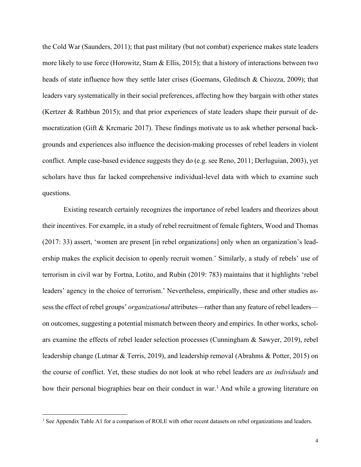the Cold War (Saunders, 2011); that past military (but not combat) experience makes state leaders more likely to use force (Horowitz, Stam & Ellis, 2015); that a history of interactions between two heads of state influence how they settle later crises (Goemans, Gleditsch & Chiozza, 2009); that leaders vary systematically in their social preferences, affecting how they bargain with other states (Kertzer & Rathbun 2015); and that prior experiences of state leaders shape their pursuit of democratization (Gift & Krcmaric 2017). These findings motivate us to ask whether personal backgrounds and experiences also influence the decision-making processes of rebel leaders in violent conflict. Ample case-based evidence suggests they do (e.g. see Reno, 2011; Derluguian, 2003), yet scholars have thus far lacked comprehensive individual-level data with which to examine such questions.

Existing research certainly recognizes the importance of rebel leaders and theorizes about their incentives. For example, in a study of rebel recruitment of female fighters, Wood and Thomas (2017: 33) assert, 'women are present [in rebel organizations] only when an organization's leadership makes the explicit decision to openly recruit women.' Similarly, a study of rebels' use of terrorism in civil war by Fortna, Lotito, and Rubin (2019: 783) maintains that it highlights 'rebel leaders' agency in the choice of terrorism.' Nevertheless, empirically, these and other studies assess the effect of rebel groups' *organizational* attributes—rather than any feature of rebel leaders on outcomes, suggesting a potential mismatch between theory and empirics. In other works, scholars examine the effects of rebel leader selection processes (Cunningham & Sawyer, 2019), rebel leadership change (Lutmar & Terris, 2019), and leadership removal (Abrahms & Potter, 2015) on the course of conflict. Yet, these studies do not look at who rebel leaders are *as individuals* and how their personal biographies bear on their conduct in war.<sup>1</sup> And while a growing literature on

<sup>&</sup>lt;sup>1</sup> See Appendix Table A1 for a comparison of ROLE with other recent datasets on rebel organizations and leaders.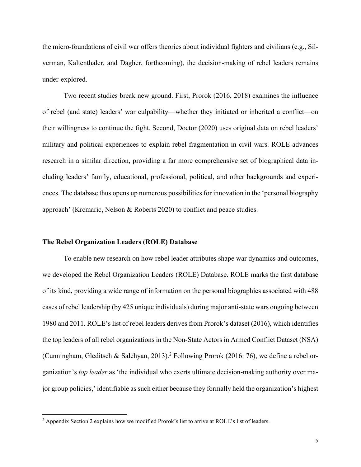the micro-foundations of civil war offers theories about individual fighters and civilians (e.g., Silverman, Kaltenthaler, and Dagher, forthcoming), the decision-making of rebel leaders remains under-explored.

Two recent studies break new ground. First, Prorok (2016, 2018) examines the influence of rebel (and state) leaders' war culpability—whether they initiated or inherited a conflict—on their willingness to continue the fight. Second, Doctor (2020) uses original data on rebel leaders' military and political experiences to explain rebel fragmentation in civil wars. ROLE advances research in a similar direction, providing a far more comprehensive set of biographical data including leaders' family, educational, professional, political, and other backgrounds and experiences. The database thus opens up numerous possibilities for innovation in the 'personal biography approach' (Krcmaric, Nelson & Roberts 2020) to conflict and peace studies.

#### **The Rebel Organization Leaders (ROLE) Database**

To enable new research on how rebel leader attributes shape war dynamics and outcomes, we developed the Rebel Organization Leaders (ROLE) Database. ROLE marks the first database of its kind, providing a wide range of information on the personal biographies associated with 488 cases of rebel leadership (by 425 unique individuals) during major anti-state wars ongoing between 1980 and 2011. ROLE's list of rebel leaders derives from Prorok's dataset (2016), which identifies the top leaders of all rebel organizations in the Non-State Actors in Armed Conflict Dataset (NSA) (Cunningham, Gleditsch & Salehyan, 2013).2 Following Prorok (2016: 76), we define a rebel organization's *top leader* as 'the individual who exerts ultimate decision-making authority over major group policies,' identifiable as such either because they formally held the organization's highest

<sup>2</sup> Appendix Section 2 explains how we modified Prorok's list to arrive at ROLE's list of leaders.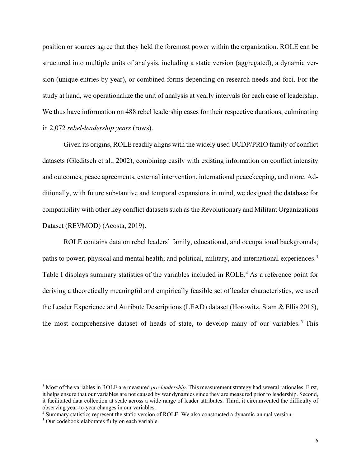position or sources agree that they held the foremost power within the organization. ROLE can be structured into multiple units of analysis, including a static version (aggregated), a dynamic version (unique entries by year), or combined forms depending on research needs and foci. For the study at hand, we operationalize the unit of analysis at yearly intervals for each case of leadership. We thus have information on 488 rebel leadership cases for their respective durations, culminating in 2,072 *rebel-leadership years* (rows).

Given its origins, ROLE readily aligns with the widely used UCDP/PRIO family of conflict datasets (Gleditsch et al., 2002), combining easily with existing information on conflict intensity and outcomes, peace agreements, external intervention, international peacekeeping, and more. Additionally, with future substantive and temporal expansions in mind, we designed the database for compatibility with other key conflict datasets such as the Revolutionary and Militant Organizations Dataset (REVMOD) (Acosta, 2019).

ROLE contains data on rebel leaders' family, educational, and occupational backgrounds; paths to power; physical and mental health; and political, military, and international experiences.<sup>3</sup> Table I displays summary statistics of the variables included in ROLE.<sup>4</sup> As a reference point for deriving a theoretically meaningful and empirically feasible set of leader characteristics, we used the Leader Experience and Attribute Descriptions (LEAD) dataset (Horowitz, Stam & Ellis 2015), the most comprehensive dataset of heads of state, to develop many of our variables.<sup>5</sup> This

<sup>3</sup> Most of the variables in ROLE are measured *pre-leadership*. This measurement strategy had several rationales. First, it helps ensure that our variables are not caused by war dynamics since they are measured prior to leadership. Second, it facilitated data collection at scale across a wide range of leader attributes. Third, it circumvented the difficulty of observing year-to-year changes in our variables.

<sup>4</sup> Summary statistics represent the static version of ROLE. We also constructed a dynamic-annual version.

<sup>&</sup>lt;sup>5</sup> Our codebook elaborates fully on each variable.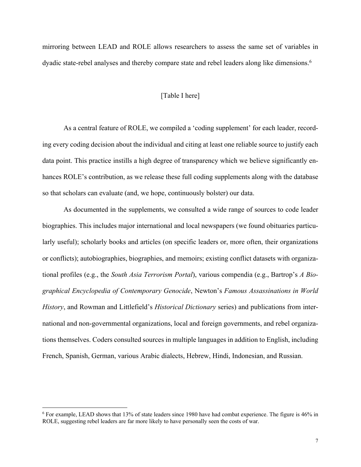mirroring between LEAD and ROLE allows researchers to assess the same set of variables in dyadic state-rebel analyses and thereby compare state and rebel leaders along like dimensions.<sup>6</sup>

#### [Table I here]

As a central feature of ROLE, we compiled a 'coding supplement' for each leader, recording every coding decision about the individual and citing at least one reliable source to justify each data point. This practice instills a high degree of transparency which we believe significantly enhances ROLE's contribution, as we release these full coding supplements along with the database so that scholars can evaluate (and, we hope, continuously bolster) our data.

As documented in the supplements, we consulted a wide range of sources to code leader biographies. This includes major international and local newspapers (we found obituaries particularly useful); scholarly books and articles (on specific leaders or, more often, their organizations or conflicts); autobiographies, biographies, and memoirs; existing conflict datasets with organizational profiles (e.g., the *South Asia Terrorism Portal*), various compendia (e.g., Bartrop's *A Biographical Encyclopedia of Contemporary Genocide*, Newton's *Famous Assassinations in World History*, and Rowman and Littlefield's *Historical Dictionary* series) and publications from international and non-governmental organizations, local and foreign governments, and rebel organizations themselves. Coders consulted sources in multiple languages in addition to English, including French, Spanish, German, various Arabic dialects, Hebrew, Hindi, Indonesian, and Russian.

<sup>6</sup> For example, LEAD shows that 13% of state leaders since 1980 have had combat experience. The figure is 46% in ROLE, suggesting rebel leaders are far more likely to have personally seen the costs of war.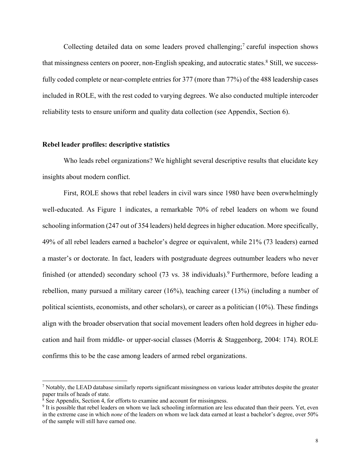Collecting detailed data on some leaders proved challenging;<sup>7</sup> careful inspection shows that missingness centers on poorer, non-English speaking, and autocratic states.<sup>8</sup> Still, we successfully coded complete or near-complete entries for 377 (more than 77%) of the 488 leadership cases included in ROLE, with the rest coded to varying degrees. We also conducted multiple intercoder reliability tests to ensure uniform and quality data collection (see Appendix, Section 6).

#### **Rebel leader profiles: descriptive statistics**

Who leads rebel organizations? We highlight several descriptive results that elucidate key insights about modern conflict.

First, ROLE shows that rebel leaders in civil wars since 1980 have been overwhelmingly well-educated. As Figure 1 indicates, a remarkable 70% of rebel leaders on whom we found schooling information (247 out of 354 leaders) held degrees in higher education. More specifically, 49% of all rebel leaders earned a bachelor's degree or equivalent, while 21% (73 leaders) earned a master's or doctorate. In fact, leaders with postgraduate degrees outnumber leaders who never finished (or attended) secondary school (73 vs. 38 individuals).<sup>9</sup> Furthermore, before leading a rebellion, many pursued a military career (16%), teaching career (13%) (including a number of political scientists, economists, and other scholars), or career as a politician (10%). These findings align with the broader observation that social movement leaders often hold degrees in higher education and hail from middle- or upper-social classes (Morris & Staggenborg, 2004: 174). ROLE confirms this to be the case among leaders of armed rebel organizations.

 $<sup>7</sup>$  Notably, the LEAD database similarly reports significant missingness on various leader attributes despite the greater</sup> paper trails of heads of state.<br><sup>8</sup> See Appendix, Section 4, for efforts to examine and account for missingness.

 $9$  It is possible that rebel leaders on whom we lack schooling information are less educated than their peers. Yet, even in the extreme case in which *none* of the leaders on whom we lack data earned at least a bachelor's degree, over 50% of the sample will still have earned one.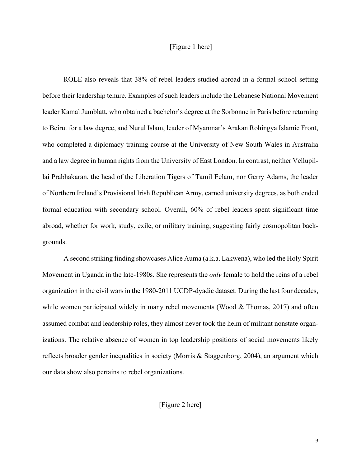#### [Figure 1 here]

ROLE also reveals that 38% of rebel leaders studied abroad in a formal school setting before their leadership tenure. Examples of such leaders include the Lebanese National Movement leader Kamal Jumblatt, who obtained a bachelor's degree at the Sorbonne in Paris before returning to Beirut for a law degree, and Nurul Islam, leader of Myanmar's Arakan Rohingya Islamic Front, who completed a diplomacy training course at the University of New South Wales in Australia and a law degree in human rights from the University of East London. In contrast, neither Vellupillai Prabhakaran, the head of the Liberation Tigers of Tamil Eelam, nor Gerry Adams, the leader of Northern Ireland's Provisional Irish Republican Army, earned university degrees, as both ended formal education with secondary school. Overall, 60% of rebel leaders spent significant time abroad, whether for work, study, exile, or military training, suggesting fairly cosmopolitan backgrounds.

A second striking finding showcases Alice Auma (a.k.a. Lakwena), who led the Holy Spirit Movement in Uganda in the late-1980s. She represents the *only* female to hold the reins of a rebel organization in the civil wars in the 1980-2011 UCDP-dyadic dataset. During the last four decades, while women participated widely in many rebel movements (Wood & Thomas, 2017) and often assumed combat and leadership roles, they almost never took the helm of militant nonstate organizations. The relative absence of women in top leadership positions of social movements likely reflects broader gender inequalities in society (Morris & Staggenborg, 2004), an argument which our data show also pertains to rebel organizations.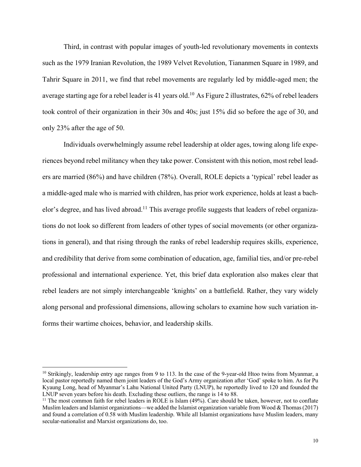Third, in contrast with popular images of youth-led revolutionary movements in contexts such as the 1979 Iranian Revolution, the 1989 Velvet Revolution, Tiananmen Square in 1989, and Tahrir Square in 2011, we find that rebel movements are regularly led by middle-aged men; the average starting age for a rebel leader is 41 years old.<sup>10</sup> As Figure 2 illustrates, 62% of rebel leaders took control of their organization in their 30s and 40s; just 15% did so before the age of 30, and only 23% after the age of 50.

Individuals overwhelmingly assume rebel leadership at older ages, towing along life experiences beyond rebel militancy when they take power. Consistent with this notion, most rebel leaders are married (86%) and have children (78%). Overall, ROLE depicts a 'typical' rebel leader as a middle-aged male who is married with children, has prior work experience, holds at least a bachelor's degree, and has lived abroad.<sup>11</sup> This average profile suggests that leaders of rebel organizations do not look so different from leaders of other types of social movements (or other organizations in general), and that rising through the ranks of rebel leadership requires skills, experience, and credibility that derive from some combination of education, age, familial ties, and/or pre-rebel professional and international experience. Yet, this brief data exploration also makes clear that rebel leaders are not simply interchangeable 'knights' on a battlefield. Rather, they vary widely along personal and professional dimensions, allowing scholars to examine how such variation informs their wartime choices, behavior, and leadership skills.

 $10$  Strikingly, leadership entry age ranges from 9 to 113. In the case of the 9-year-old Htoo twins from Myanmar, a local pastor reportedly named them joint leaders of the God's Army organization after 'God' spoke to him. As for Pu Kyaung Long, head of Myanmar's Lahu National United Party (LNUP), he reportedly lived to 120 and founded the LNUP seven years before his death. Excluding these outliers, the range is 14 to 88.

 $11$  The most common faith for rebel leaders in ROLE is Islam (49%). Care should be taken, however, not to conflate Muslim leaders and Islamist organizations—we added the Islamist organization variable from Wood & Thomas (2017) and found a correlation of 0.58 with Muslim leadership. While all Islamist organizations have Muslim leaders, many secular-nationalist and Marxist organizations do, too.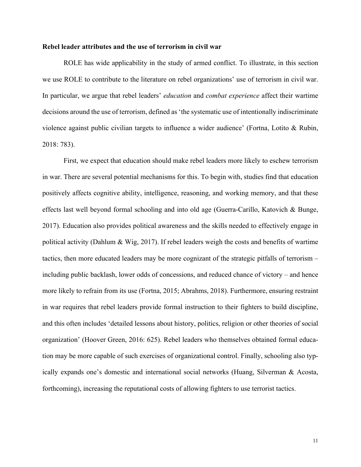#### **Rebel leader attributes and the use of terrorism in civil war**

ROLE has wide applicability in the study of armed conflict. To illustrate, in this section we use ROLE to contribute to the literature on rebel organizations' use of terrorism in civil war. In particular, we argue that rebel leaders' *education* and *combat experience* affect their wartime decisions around the use of terrorism, defined as 'the systematic use of intentionally indiscriminate violence against public civilian targets to influence a wider audience' (Fortna, Lotito & Rubin, 2018: 783).

First, we expect that education should make rebel leaders more likely to eschew terrorism in war. There are several potential mechanisms for this. To begin with, studies find that education positively affects cognitive ability, intelligence, reasoning, and working memory, and that these effects last well beyond formal schooling and into old age (Guerra-Carillo, Katovich & Bunge, 2017). Education also provides political awareness and the skills needed to effectively engage in political activity (Dahlum & Wig, 2017). If rebel leaders weigh the costs and benefits of wartime tactics, then more educated leaders may be more cognizant of the strategic pitfalls of terrorism – including public backlash, lower odds of concessions, and reduced chance of victory – and hence more likely to refrain from its use (Fortna, 2015; Abrahms, 2018). Furthermore, ensuring restraint in war requires that rebel leaders provide formal instruction to their fighters to build discipline, and this often includes 'detailed lessons about history, politics, religion or other theories of social organization' (Hoover Green, 2016: 625). Rebel leaders who themselves obtained formal education may be more capable of such exercises of organizational control. Finally, schooling also typically expands one's domestic and international social networks (Huang, Silverman & Acosta, forthcoming), increasing the reputational costs of allowing fighters to use terrorist tactics.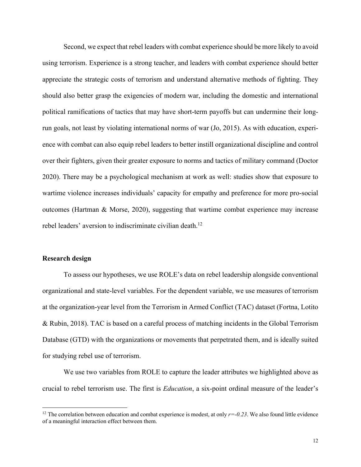Second, we expect that rebel leaders with combat experience should be more likely to avoid using terrorism. Experience is a strong teacher, and leaders with combat experience should better appreciate the strategic costs of terrorism and understand alternative methods of fighting. They should also better grasp the exigencies of modern war, including the domestic and international political ramifications of tactics that may have short-term payoffs but can undermine their longrun goals, not least by violating international norms of war (Jo, 2015). As with education, experience with combat can also equip rebel leaders to better instill organizational discipline and control over their fighters, given their greater exposure to norms and tactics of military command (Doctor 2020). There may be a psychological mechanism at work as well: studies show that exposure to wartime violence increases individuals' capacity for empathy and preference for more pro-social outcomes (Hartman & Morse, 2020), suggesting that wartime combat experience may increase rebel leaders' aversion to indiscriminate civilian death.<sup>12</sup>

#### **Research design**

To assess our hypotheses, we use ROLE's data on rebel leadership alongside conventional organizational and state-level variables. For the dependent variable, we use measures of terrorism at the organization-year level from the Terrorism in Armed Conflict (TAC) dataset (Fortna, Lotito & Rubin, 2018). TAC is based on a careful process of matching incidents in the Global Terrorism Database (GTD) with the organizations or movements that perpetrated them, and is ideally suited for studying rebel use of terrorism.

We use two variables from ROLE to capture the leader attributes we highlighted above as crucial to rebel terrorism use. The first is *Education*, a six-point ordinal measure of the leader's

<sup>&</sup>lt;sup>12</sup> The correlation between education and combat experience is modest, at only  $r=0.23$ . We also found little evidence of a meaningful interaction effect between them.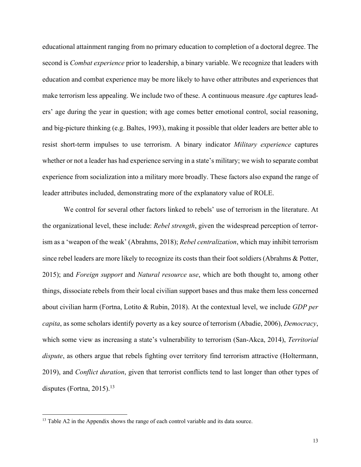educational attainment ranging from no primary education to completion of a doctoral degree. The second is *Combat experience* prior to leadership, a binary variable. We recognize that leaders with education and combat experience may be more likely to have other attributes and experiences that make terrorism less appealing. We include two of these. A continuous measure *Age* captures leaders' age during the year in question; with age comes better emotional control, social reasoning, and big-picture thinking (e.g. Baltes, 1993), making it possible that older leaders are better able to resist short-term impulses to use terrorism. A binary indicator *Military experience* captures whether or not a leader has had experience serving in a state's military; we wish to separate combat experience from socialization into a military more broadly. These factors also expand the range of leader attributes included, demonstrating more of the explanatory value of ROLE.

We control for several other factors linked to rebels' use of terrorism in the literature. At the organizational level, these include: *Rebel strength*, given the widespread perception of terrorism as a 'weapon of the weak' (Abrahms, 2018); *Rebel centralization*, which may inhibit terrorism since rebel leaders are more likely to recognize its costs than their foot soldiers (Abrahms & Potter, 2015); and *Foreign support* and *Natural resource use*, which are both thought to, among other things, dissociate rebels from their local civilian support bases and thus make them less concerned about civilian harm (Fortna, Lotito & Rubin, 2018). At the contextual level, we include *GDP per capita*, as some scholars identify poverty as a key source of terrorism (Abadie, 2006), *Democracy*, which some view as increasing a state's vulnerability to terrorism (San-Akca, 2014), *Territorial dispute*, as others argue that rebels fighting over territory find terrorism attractive (Holtermann, 2019), and *Conflict duration*, given that terrorist conflicts tend to last longer than other types of disputes (Fortna, 2015).<sup>13</sup>

<sup>&</sup>lt;sup>13</sup> Table A2 in the Appendix shows the range of each control variable and its data source.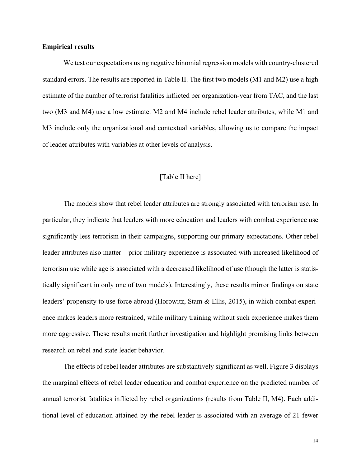#### **Empirical results**

We test our expectations using negative binomial regression models with country-clustered standard errors. The results are reported in Table II. The first two models (M1 and M2) use a high estimate of the number of terrorist fatalities inflicted per organization-year from TAC, and the last two (M3 and M4) use a low estimate. M2 and M4 include rebel leader attributes, while M1 and M3 include only the organizational and contextual variables, allowing us to compare the impact of leader attributes with variables at other levels of analysis.

#### [Table II here]

The models show that rebel leader attributes are strongly associated with terrorism use. In particular, they indicate that leaders with more education and leaders with combat experience use significantly less terrorism in their campaigns, supporting our primary expectations. Other rebel leader attributes also matter – prior military experience is associated with increased likelihood of terrorism use while age is associated with a decreased likelihood of use (though the latter is statistically significant in only one of two models). Interestingly, these results mirror findings on state leaders' propensity to use force abroad (Horowitz, Stam & Ellis, 2015), in which combat experience makes leaders more restrained, while military training without such experience makes them more aggressive. These results merit further investigation and highlight promising links between research on rebel and state leader behavior.

The effects of rebel leader attributes are substantively significant as well. Figure 3 displays the marginal effects of rebel leader education and combat experience on the predicted number of annual terrorist fatalities inflicted by rebel organizations (results from Table II, M4). Each additional level of education attained by the rebel leader is associated with an average of 21 fewer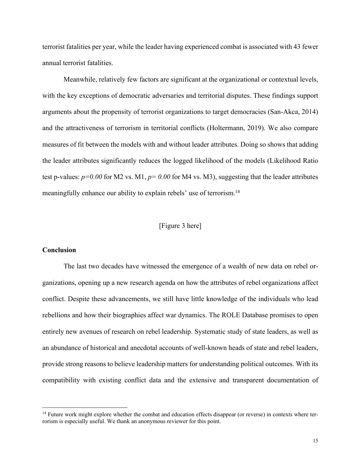terrorist fatalities per year, while the leader having experienced combat is associated with 43 fewer annual terrorist fatalities.

Meanwhile, relatively few factors are significant at the organizational or contextual levels, with the key exceptions of democratic adversaries and territorial disputes. These findings support arguments about the propensity of terrorist organizations to target democracies (San-Akca, 2014) and the attractiveness of terrorism in territorial conflicts (Holtermann, 2019). We also compare measures of fit between the models with and without leader attributes. Doing so shows that adding the leader attributes significantly reduces the logged likelihood of the models (Likelihood Ratio test p-values:  $p=0.00$  for M2 vs. M1,  $p=0.00$  for M4 vs. M3), suggesting that the leader attributes meaningfully enhance our ability to explain rebels' use of terrorism.<sup>14</sup>

#### [Figure 3 here]

#### **Conclusion**

The last two decades have witnessed the emergence of a wealth of new data on rebel organizations, opening up a new research agenda on how the attributes of rebel organizations affect conflict. Despite these advancements, we still have little knowledge of the individuals who lead rebellions and how their biographies affect war dynamics. The ROLE Database promises to open entirely new avenues of research on rebel leadership. Systematic study of state leaders, as well as an abundance of historical and anecdotal accounts of well-known heads of state and rebel leaders, provide strong reasons to believe leadership matters for understanding political outcomes. With its compatibility with existing conflict data and the extensive and transparent documentation of

<sup>&</sup>lt;sup>14</sup> Future work might explore whether the combat and education effects disappear (or reverse) in contexts where terrorism is especially useful. We thank an anonymous reviewer for this point.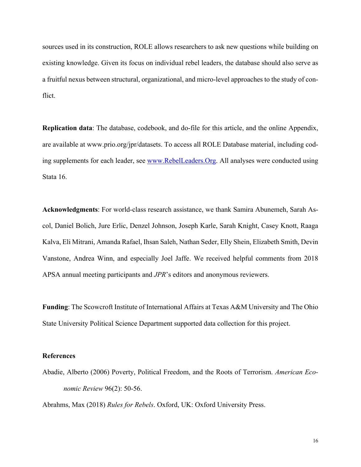sources used in its construction, ROLE allows researchers to ask new questions while building on existing knowledge. Given its focus on individual rebel leaders, the database should also serve as a fruitful nexus between structural, organizational, and micro-level approaches to the study of conflict.

**Replication data**: The database, codebook, and do-file for this article, and the online Appendix, are available at www.prio.org/jpr/datasets. To access all ROLE Database material, including coding supplements for each leader, see www.RebelLeaders.Org. All analyses were conducted using Stata 16.

**Acknowledgments**: For world-class research assistance, we thank Samira Abunemeh, Sarah Ascol, Daniel Bolich, Jure Erlic, Denzel Johnson, Joseph Karle, Sarah Knight, Casey Knott, Raaga Kalva, Eli Mitrani, Amanda Rafael, Ihsan Saleh, Nathan Seder, Elly Shein, Elizabeth Smith, Devin Vanstone, Andrea Winn, and especially Joel Jaffe. We received helpful comments from 2018 APSA annual meeting participants and *JPR*'s editors and anonymous reviewers.

**Funding**: The Scowcroft Institute of International Affairs at Texas A&M University and The Ohio State University Political Science Department supported data collection for this project.

#### **References**

Abadie, Alberto (2006) Poverty, Political Freedom, and the Roots of Terrorism. *American Economic Review* 96(2): 50-56.

Abrahms, Max (2018) *Rules for Rebels*. Oxford, UK: Oxford University Press.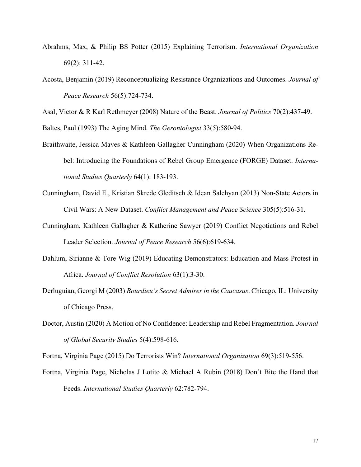- Abrahms, Max, & Philip BS Potter (2015) Explaining Terrorism. *International Organization* 69(2): 311-42.
- Acosta, Benjamin (2019) Reconceptualizing Resistance Organizations and Outcomes. *Journal of Peace Research* 56(5):724-734.

Asal, Victor & R Karl Rethmeyer (2008) Nature of the Beast. *Journal of Politics* 70(2):437-49.

Baltes, Paul (1993) The Aging Mind. *The Gerontologist* 33(5):580-94.

- Braithwaite, Jessica Maves & Kathleen Gallagher Cunningham (2020) When Organizations Rebel: Introducing the Foundations of Rebel Group Emergence (FORGE) Dataset. *International Studies Quarterly* 64(1): 183-193.
- Cunningham, David E., Kristian Skrede Gleditsch & Idean Salehyan (2013) Non-State Actors in Civil Wars: A New Dataset. *Conflict Management and Peace Science* 305(5):516-31.
- Cunningham, Kathleen Gallagher & Katherine Sawyer (2019) Conflict Negotiations and Rebel Leader Selection. *Journal of Peace Research* 56(6):619-634.
- Dahlum, Sirianne & Tore Wig (2019) Educating Demonstrators: Education and Mass Protest in Africa. *Journal of Conflict Resolution* 63(1):3-30.
- Derluguian, Georgi M (2003) *Bourdieu's Secret Admirer in the Caucasus*. Chicago, IL: University of Chicago Press.
- Doctor, Austin (2020) A Motion of No Confidence: Leadership and Rebel Fragmentation. *Journal of Global Security Studies* 5(4):598-616.

Fortna, Virginia Page (2015) Do Terrorists Win? *International Organization* 69(3):519-556.

Fortna, Virginia Page, Nicholas J Lotito & Michael A Rubin (2018) Don't Bite the Hand that Feeds. *International Studies Quarterly* 62:782-794.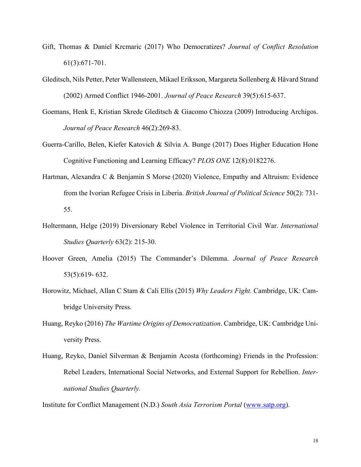- Gift, Thomas & Daniel Krcmaric (2017) Who Democratizes? *Journal of Conflict Resolution* 61(3):671-701.
- Gleditsch, Nils Petter, Peter Wallensteen, Mikael Eriksson, Margareta Sollenberg & Håvard Strand (2002) Armed Conflict 1946-2001. *Journal of Peace Research* 39(5):615-637.
- Goemans, Henk E, Kristian Skrede Gleditsch & Giacomo Chiozza (2009) Introducing Archigos. *Journal of Peace Research* 46(2):269-83.
- Guerra-Carillo, Belen, Kiefer Katovich & Silvia A. Bunge (2017) Does Higher Education Hone Cognitive Functioning and Learning Efficacy? *PLOS ONE* 12(8):0182276.
- Hartman, Alexandra C & Benjamin S Morse (2020) Violence, Empathy and Altruism: Evidence from the Ivorian Refugee Crisis in Liberia. *British Journal of Political Science* 50(2): 731- 55.
- Holtermann, Helge (2019) Diversionary Rebel Violence in Territorial Civil War. *International Studies Quarterly* 63(2): 215-30.
- Hoover Green, Amelia (2015) The Commander's Dilemma. *Journal of Peace Research* 53(5):619- 632.
- Horowitz, Michael, Allan C Stam & Cali Ellis (2015) *Why Leaders Fight*. Cambridge, UK: Cambridge University Press.
- Huang, Reyko (2016) *The Wartime Origins of Democratization*. Cambridge, UK: Cambridge University Press.
- Huang, Reyko, Daniel Silverman & Benjamin Acosta (forthcoming) Friends in the Profession: Rebel Leaders, International Social Networks, and External Support for Rebellion. *International Studies Quarterly.*

Institute for Conflict Management (N.D.) *South Asia Terrorism Portal* (www.satp.org).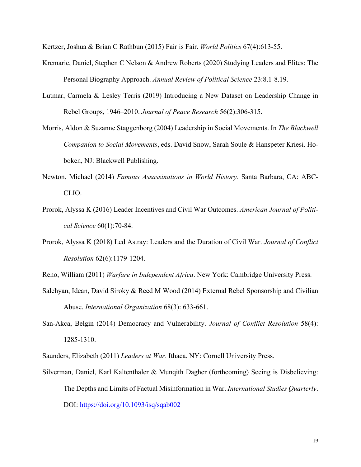Kertzer, Joshua & Brian C Rathbun (2015) Fair is Fair. *World Politics* 67(4):613-55.

- Krcmaric, Daniel, Stephen C Nelson & Andrew Roberts (2020) Studying Leaders and Elites: The Personal Biography Approach. *Annual Review of Political Science* 23:8.1-8.19.
- Lutmar, Carmela & Lesley Terris (2019) Introducing a New Dataset on Leadership Change in Rebel Groups, 1946–2010. *Journal of Peace Research* 56(2):306-315.
- Morris, Aldon & Suzanne Staggenborg (2004) Leadership in Social Movements. In *The Blackwell Companion to Social Movements*, eds. David Snow, Sarah Soule & Hanspeter Kriesi. Hoboken, NJ: Blackwell Publishing.
- Newton, Michael (2014) *Famous Assassinations in World History.* Santa Barbara, CA: ABC-CLIO.
- Prorok, Alyssa K (2016) Leader Incentives and Civil War Outcomes. *American Journal of Political Science* 60(1):70-84.
- Prorok, Alyssa K (2018) Led Astray: Leaders and the Duration of Civil War. *Journal of Conflict Resolution* 62(6):1179-1204.

Reno, William (2011) *Warfare in Independent Africa*. New York: Cambridge University Press.

- Salehyan, Idean, David Siroky & Reed M Wood (2014) External Rebel Sponsorship and Civilian Abuse. *International Organization* 68(3): 633-661.
- San-Akca, Belgin (2014) Democracy and Vulnerability. *Journal of Conflict Resolution* 58(4): 1285-1310.

Saunders, Elizabeth (2011) *Leaders at War*. Ithaca, NY: Cornell University Press.

Silverman, Daniel, Karl Kaltenthaler & Munqith Dagher (forthcoming) Seeing is Disbelieving: The Depths and Limits of Factual Misinformation in War. *International Studies Quarterly*. DOI: https://doi.org/10.1093/isq/sqab002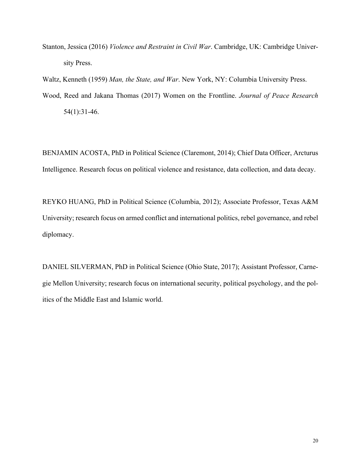Stanton, Jessica (2016) *Violence and Restraint in Civil War*. Cambridge, UK: Cambridge University Press.

Waltz, Kenneth (1959) *Man, the State, and War*. New York, NY: Columbia University Press.

Wood, Reed and Jakana Thomas (2017) Women on the Frontline. *Journal of Peace Research* 54(1):31-46.

BENJAMIN ACOSTA, PhD in Political Science (Claremont, 2014); Chief Data Officer, Arcturus Intelligence. Research focus on political violence and resistance, data collection, and data decay.

REYKO HUANG, PhD in Political Science (Columbia, 2012); Associate Professor, Texas A&M University; research focus on armed conflict and international politics, rebel governance, and rebel diplomacy.

DANIEL SILVERMAN, PhD in Political Science (Ohio State, 2017); Assistant Professor, Carnegie Mellon University; research focus on international security, political psychology, and the politics of the Middle East and Islamic world.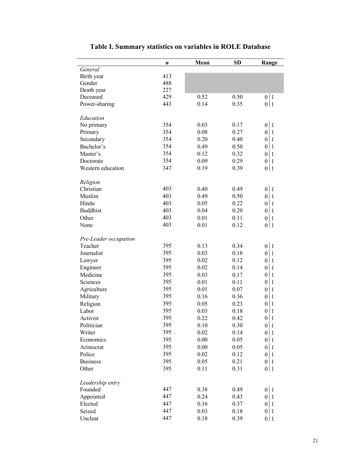|                       | n   | Mean | <b>SD</b> | Range |
|-----------------------|-----|------|-----------|-------|
| General               |     |      |           |       |
| Birth year            | 413 |      |           |       |
| Gender                | 488 |      |           |       |
| Death year            | 227 |      |           |       |
| Deceased              | 429 | 0.52 | 0.50      | 0 1   |
| Power-sharing         | 443 | 0.14 | 0.35      | 0 1   |
| Education             |     |      |           |       |
| No primary            | 354 | 0.03 | 0.17      | 0 1   |
| Primary               | 354 | 0.08 | 0.27      | 0 1   |
| Secondary             | 354 | 0.20 | 0.40      | 0 1   |
| Bachelor's            | 354 | 0.49 | 0.50      | 0 1   |
| Master's              | 354 | 0.12 | 0.32      | 0 1   |
| Doctorate             | 354 | 0.09 | 0.29      | 0 1   |
| Western education     | 347 | 0.19 | 0.39      | 0 1   |
|                       |     |      |           |       |
| Religion              |     |      |           |       |
| Christian             | 403 | 0.40 | 0.49      | 0 1   |
| Muslim                | 403 | 0.49 | 0.50      | 0 1   |
| Hindu                 | 403 | 0.05 | 0.22      | 0 1   |
| <b>Buddhist</b>       | 403 | 0.04 | 0.20      | 0 1   |
| Other                 | 403 | 0.01 | 0.11      | 0 1   |
| None                  | 403 | 0.01 | 0.12      | 0 1   |
| Pre-Leader occupation |     |      |           |       |
| Teacher               | 395 | 0.13 | 0.34      | 0 1   |
| Journalist            | 395 | 0.03 | 0.18      | 0 1   |
| Lawyer                | 395 | 0.02 | 0.12      | 0 1   |
| Engineer              | 395 | 0.02 | 0.14      | 0 1   |
| Medicine              | 395 | 0.03 | 0.17      | 0 1   |
| Sciences              | 395 | 0.01 | 0.11      | 0 1   |
|                       | 395 | 0.01 | 0.07      | 0 1   |
| Agriculture           | 395 |      |           |       |
| Military              |     | 0.16 | 0.36      | 0 1   |
| Religion              | 395 | 0.05 | 0.23      | 0 1   |
| Labor                 | 395 | 0.03 | 0.18      | 0 1   |
| Activist              | 395 | 0.22 | 0.42      | 0 1   |
| Politician            | 395 | 0.10 | 0.30      | 0 1   |
| Writer                | 395 | 0.02 | 0.14      | 0 1   |
| Economics             | 395 | 0.00 | 0.05      | 0 1   |
| Aristocrat            | 395 | 0.00 | 0.05      | 0 1   |
| Police                | 395 | 0.02 | 0.12      | 0 1   |
| <b>Business</b>       | 395 | 0.05 | 0.21      | 0 1   |
| Other                 | 395 | 0.11 | 0.31      | 0 1   |
| Leadership entry      |     |      |           |       |
| Founded               | 447 | 0.38 | 0.49      | 0 1   |
| Appointed             | 447 | 0.24 | 0.43      | 0 1   |
| Elected               | 447 | 0.16 | 0.37      | 0 1   |
| Seized                | 447 | 0.03 | 0.18      | 0 1   |
| Unclear               | 447 | 0.18 | 0.39      | 0 1   |
|                       |     |      |           |       |

# **Table I. Summary statistics on variables in ROLE Database**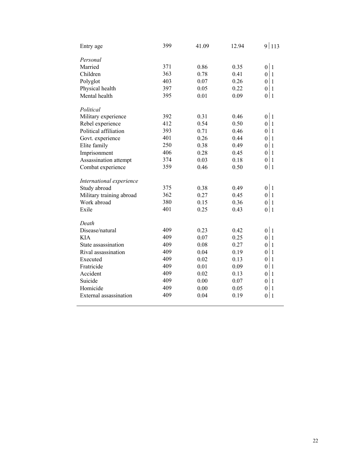| Entry age                | 399 | 41.09 | 12.94 | 9 113                            |
|--------------------------|-----|-------|-------|----------------------------------|
| Personal                 |     |       |       |                                  |
| Married                  | 371 | 0.86  | 0.35  | 0 1                              |
| Children                 | 363 | 0.78  | 0.41  | 0 1                              |
| Polyglot                 | 403 | 0.07  | 0.26  | 0 1                              |
| Physical health          | 397 | 0.05  | 0.22  | $\boldsymbol{0}$<br>  1          |
| Mental health            | 395 | 0.01  | 0.09  | 0 1                              |
| Political                |     |       |       |                                  |
| Military experience      | 392 | 0.31  | 0.46  | 0 1                              |
| Rebel experience         | 412 | 0.54  | 0.50  | 0 1                              |
| Political affiliation    | 393 | 0.71  | 0.46  | $\boldsymbol{0}$<br>$\vert$ 1    |
| Govt. experience         | 401 | 0.26  | 0.44  | $\mathbf{1}$<br>$\theta$         |
| Elite family             | 250 | 0.38  | 0.49  | $\mathbf{1}$<br>$\boldsymbol{0}$ |
| Imprisonment             | 406 | 0.28  | 0.45  | $\vert$ 1<br>$\theta$            |
| Assassination attempt    | 374 | 0.03  | 0.18  | 0 1                              |
| Combat experience        | 359 | 0.46  | 0.50  | 0 1                              |
| International experience |     |       |       |                                  |
| Study abroad             | 375 | 0.38  | 0.49  | 0 1                              |
| Military training abroad | 362 | 0.27  | 0.45  | 0 1                              |
| Work abroad              | 380 | 0.15  | 0.36  | 0 1                              |
| Exile                    | 401 | 0.25  | 0.43  | 0 1                              |
| Death                    |     |       |       |                                  |
| Disease/natural          | 409 | 0.23  | 0.42  | 0 1                              |
| <b>KIA</b>               | 409 | 0.07  | 0.25  | 0 1                              |
| State assassination      | 409 | 0.08  | 0.27  | 0 1                              |
| Rival assassination      | 409 | 0.04  | 0.19  | $\mathbf{1}$<br>$\boldsymbol{0}$ |
| Executed                 | 409 | 0.02  | 0.13  | $\overline{1}$<br>$\overline{0}$ |
| Fratricide               | 409 | 0.01  | 0.09  | $\mathbf{1}$<br>$\theta$         |
| Accident                 | 409 | 0.02  | 0.13  | $\boldsymbol{0}$<br>$\mathbf{1}$ |
| Suicide                  | 409 | 0.00  | 0.07  | $\boldsymbol{0}$<br>$\mathbf{1}$ |
| Homicide                 | 409 | 0.00  | 0.05  | $\boldsymbol{0}$<br>$\mathbf{1}$ |
| External assassination   | 409 | 0.04  | 0.19  | $\boldsymbol{0}$<br>$\vert$ 1    |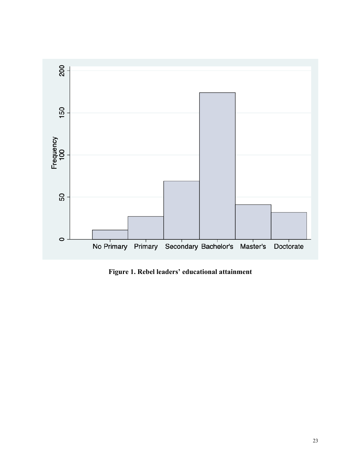

**Figure 1. Rebel leaders' educational attainment**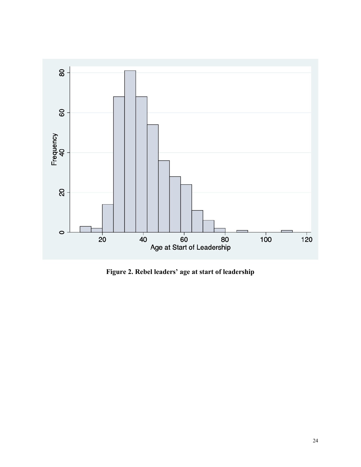

**Figure 2. Rebel leaders' age at start of leadership**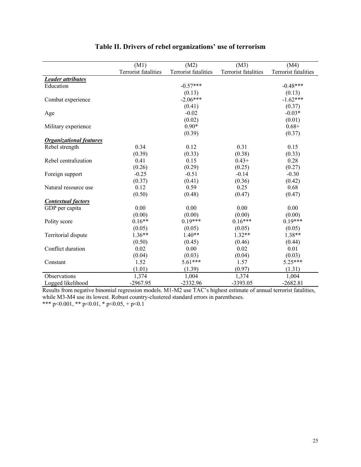|                                | (M1)                        | (M2)                        | (M3)                 | (M4)                 |
|--------------------------------|-----------------------------|-----------------------------|----------------------|----------------------|
|                                | <b>Terrorist fatalities</b> | <b>Terrorist fatalities</b> | Terrorist fatalities | Terrorist fatalities |
| <b>Leader attributes</b>       |                             |                             |                      |                      |
| Education                      |                             | $-0.57***$                  |                      | $-0.48***$           |
|                                |                             | (0.13)                      |                      | (0.13)               |
| Combat experience              |                             | $-2.06***$                  |                      | $-1.62***$           |
|                                |                             | (0.41)                      |                      | (0.37)               |
| Age                            |                             | $-0.02$                     |                      | $-0.03*$             |
|                                |                             | (0.02)                      |                      | (0.01)               |
| Military experience            |                             | $0.90*$                     |                      | $0.68 +$             |
|                                |                             | (0.39)                      |                      | (0.37)               |
| <b>Organizational features</b> |                             |                             |                      |                      |
| Rebel strength                 | 0.34                        | 0.12                        | 0.31                 | 0.15                 |
|                                | (0.39)                      | (0.33)                      | (0.38)               | (0.33)               |
| Rebel centralization           | 0.41                        | 0.15                        | $0.43+$              | 0.28                 |
|                                | (0.26)                      | (0.29)                      | (0.25)               | (0.27)               |
| Foreign support                | $-0.25$                     | $-0.51$                     | $-0.14$              | $-0.30$              |
|                                | (0.37)                      | (0.41)                      | (0.36)               | (0.42)               |
| Natural resource use           | 0.12                        | 0.59                        | 0.25                 | 0.68                 |
|                                | (0.50)                      | (0.48)                      | (0.47)               | (0.47)               |
| <b>Contextual factors</b>      |                             |                             |                      |                      |
| GDP per capita                 | 0.00                        | 0.00                        | 0.00                 | 0.00                 |
|                                | (0.00)                      | (0.00)                      | (0.00)               | (0.00)               |
| Polity score                   | $0.16**$                    | $0.19***$                   | $0.16***$            | $0.19***$            |
|                                | (0.05)                      | (0.05)                      | (0.05)               | (0.05)               |
| Territorial dispute            | $1.36**$                    | $1.40**$                    | $1.32**$             | $1.38**$             |
|                                | (0.50)                      | (0.45)                      | (0.46)               | (0.44)               |
| Conflict duration              | 0.02                        | 0.00                        | 0.02                 | 0.01                 |
|                                | (0.04)                      | (0.03)                      | (0.04)               | (0.03)               |
| Constant                       | 1.52                        | 5.61***                     | 1.57                 | 5.25***              |
|                                | (1.01)                      | (1.39)                      | (0.97)               | (1.31)               |
| Observations                   | 1,374                       | 1,004                       | 1,374                | 1,004                |
| Logged likelihood              | $-2967.95$                  | $-2332.96$                  | -3393.05             | $-2682.81$           |

## **Table II. Drivers of rebel organizations' use of terrorism**

Results from negative binomial regression models. M1-M2 use TAC's highest estimate of annual terrorist fatalities, while M3-M4 use its lowest. Robust country-clustered standard errors in parentheses.

\*\*\* p<0.001, \*\* p<0.01, \* p<0.05, + p<0.1